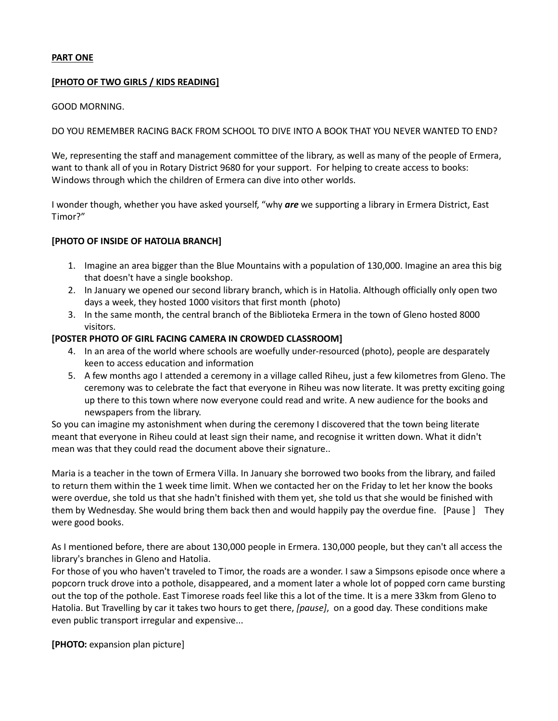# **PART ONE**

## **[PHOTO OF TWO GIRLS / KIDS READING]**

## GOOD MORNING.

# DO YOU REMEMBER RACING BACK FROM SCHOOL TO DIVE INTO A BOOK THAT YOU NEVER WANTED TO END?

We, representing the staff and management committee of the library, as well as many of the people of Ermera, want to thank all of you in Rotary District 9680 for your support. For helping to create access to books: Windows through which the children of Ermera can dive into other worlds.

I wonder though, whether you have asked yourself, "why *are* we supporting a library in Ermera District, East Timor?"

# **[PHOTO OF INSIDE OF HATOLIA BRANCH]**

- 1. Imagine an area bigger than the Blue Mountains with a population of 130,000. Imagine an area this big that doesn't have a single bookshop.
- 2. In January we opened our second library branch, which is in Hatolia. Although officially only open two days a week, they hosted 1000 visitors that first month (photo)
- 3. In the same month, the central branch of the Biblioteka Ermera in the town of Gleno hosted 8000 visitors.

## **[POSTER PHOTO OF GIRL FACING CAMERA IN CROWDED CLASSROOM]**

- 4. In an area of the world where schools are woefully under-resourced (photo), people are desparately keen to access education and information
- 5. A few months ago I attended a ceremony in a village called Riheu, just a few kilometres from Gleno. The ceremony was to celebrate the fact that everyone in Riheu was now literate. It was pretty exciting going up there to this town where now everyone could read and write. A new audience for the books and newspapers from the library.

So you can imagine my astonishment when during the ceremony I discovered that the town being literate meant that everyone in Riheu could at least sign their name, and recognise it written down. What it didn't mean was that they could read the document above their signature..

Maria is a teacher in the town of Ermera Villa. In January she borrowed two books from the library, and failed to return them within the 1 week time limit. When we contacted her on the Friday to let her know the books were overdue, she told us that she hadn't finished with them yet, she told us that she would be finished with them by Wednesday. She would bring them back then and would happily pay the overdue fine. [Pause ] They were good books.

As I mentioned before, there are about 130,000 people in Ermera. 130,000 people, but they can't all access the library's branches in Gleno and Hatolia.

For those of you who haven't traveled to Timor, the roads are a wonder. I saw a Simpsons episode once where a popcorn truck drove into a pothole, disappeared, and a moment later a whole lot of popped corn came bursting out the top of the pothole. East Timorese roads feel like this a lot of the time. It is a mere 33km from Gleno to Hatolia. But Travelling by car it takes two hours to get there, *[pause]*, on a good day. These conditions make even public transport irregular and expensive...

**[PHOTO:** expansion plan picture]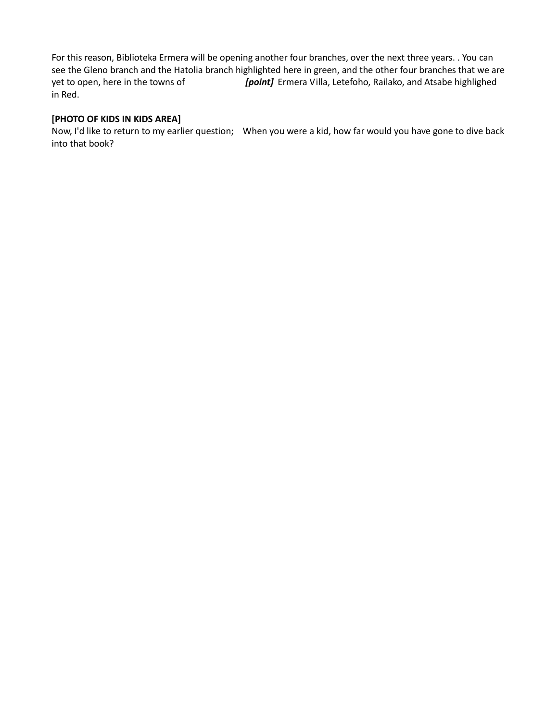For this reason, Biblioteka Ermera will be opening another four branches, over the next three years. . You can see the Gleno branch and the Hatolia branch highlighted here in green, and the other four branches that we are yet to open, here in the towns of *[point]* Ermera Villa, Letefoho, Railako, and Atsabe highlighed in Red.

# **[PHOTO OF KIDS IN KIDS AREA]**

Now, I'd like to return to my earlier question; When you were a kid, how far would you have gone to dive back into that book?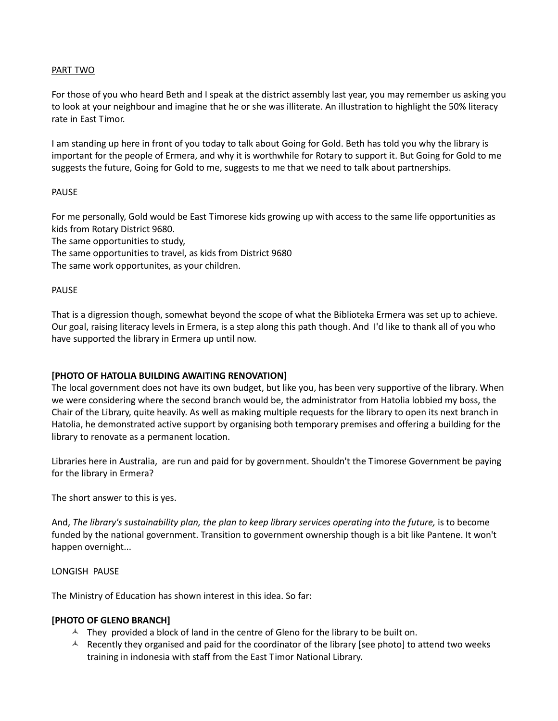# PART TWO

For those of you who heard Beth and I speak at the district assembly last year, you may remember us asking you to look at your neighbour and imagine that he or she was illiterate. An illustration to highlight the 50% literacy rate in East Timor.

I am standing up here in front of you today to talk about Going for Gold. Beth has told you why the library is important for the people of Ermera, and why it is worthwhile for Rotary to support it. But Going for Gold to me suggests the future, Going for Gold to me, suggests to me that we need to talk about partnerships.

## PAUSE

For me personally, Gold would be East Timorese kids growing up with access to the same life opportunities as kids from Rotary District 9680.

The same opportunities to study,

The same opportunities to travel, as kids from District 9680

The same work opportunites, as your children.

#### PAUSE

That is a digression though, somewhat beyond the scope of what the Biblioteka Ermera was set up to achieve. Our goal, raising literacy levels in Ermera, is a step along this path though. And I'd like to thank all of you who have supported the library in Ermera up until now.

## **[PHOTO OF HATOLIA BUILDING AWAITING RENOVATION]**

The local government does not have its own budget, but like you, has been very supportive of the library. When we were considering where the second branch would be, the administrator from Hatolia lobbied my boss, the Chair of the Library, quite heavily. As well as making multiple requests for the library to open its next branch in Hatolia, he demonstrated active support by organising both temporary premises and offering a building for the library to renovate as a permanent location.

Libraries here in Australia, are run and paid for by government. Shouldn't the Timorese Government be paying for the library in Ermera?

The short answer to this is yes.

And, *The library's sustainability plan, the plan to keep library services operating into the future,* is to become funded by the national government. Transition to government ownership though is a bit like Pantene. It won't happen overnight...

#### LONGISH PAUSE

The Ministry of Education has shown interest in this idea. So far:

## **[PHOTO OF GLENO BRANCH]**

- $\uparrow$  They provided a block of land in the centre of Gleno for the library to be built on.
- A Recently they organised and paid for the coordinator of the library [see photo] to attend two weeks training in indonesia with staff from the East Timor National Library.